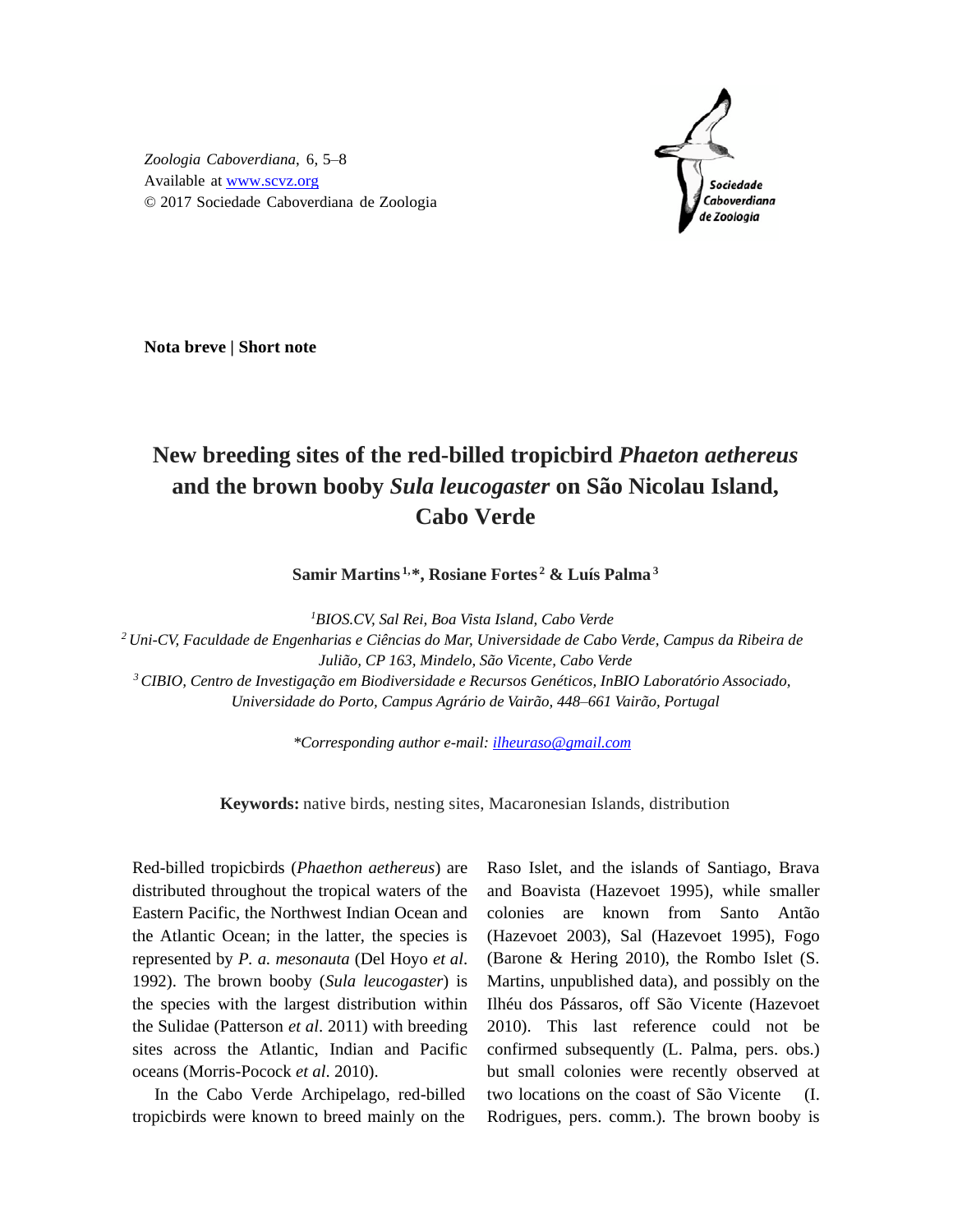

*Zoologia Caboverdiana*, 6, 5–8 Available at [www.scvz.org](http://www.scvz.org/) © 2017 Sociedade Caboverdiana de Zoologia

**Nota breve | Short note**

## **New breeding sites of the red-billed tropicbird** *Phaeton aethereus* **and the brown booby** *Sula leucogaster* **on São Nicolau Island, Cabo Verde**

**Samir Martins 1,\*, Rosiane Fortes <sup>2</sup> & Luís Palma<sup>3</sup>**

*<sup>1</sup>BIOS.CV, Sal Rei, Boa Vista Island, Cabo Verde*

*<sup>2</sup>Uni-CV, Faculdade de Engenharias e Ciências do Mar, Universidade de Cabo Verde, Campus da Ribeira de Julião, CP 163, Mindelo, São Vicente, Cabo Verde <sup>3</sup>CIBIO, Centro de Investigação em Biodiversidade e Recursos Genéticos, InBIO Laboratório Associado,* 

*Universidade do Porto, Campus Agrário de Vairão, 448–661 Vairão, Portugal* 

*\*Corresponding author e-mail[: ilheuraso@gmail.com](mailto:ilheuraso@gmail.com)*

**Keywords:** native birds, nesting sites, Macaronesian Islands, distribution

Red-billed tropicbirds (*Phaethon aethereus*) are distributed throughout the tropical waters of the Eastern Pacific, the Northwest Indian Ocean and the Atlantic Ocean; in the latter, the species is represented by *P. a. mesonauta* (Del Hoyo *et al*. 1992). The brown booby (*Sula leucogaster*) is the species with the largest distribution within the Sulidae (Patterson *et al*. 2011) with breeding sites across the Atlantic, Indian and Pacific oceans (Morris-Pocock *et al*. 2010).

In the Cabo Verde Archipelago, red-billed tropicbirds were known to breed mainly on the Raso Islet, and the islands of Santiago, Brava and Boavista (Hazevoet 1995), while smaller colonies are known from Santo Antão (Hazevoet 2003), Sal (Hazevoet 1995), Fogo (Barone & Hering 2010), the Rombo Islet (S. Martins, unpublished data), and possibly on the Ilhéu dos Pássaros, off São Vicente (Hazevoet 2010). This last reference could not be confirmed subsequently (L. Palma, pers. obs.) but small colonies were recently observed at two locations on the coast of São Vicente (I. Rodrigues, pers. comm.). The brown booby is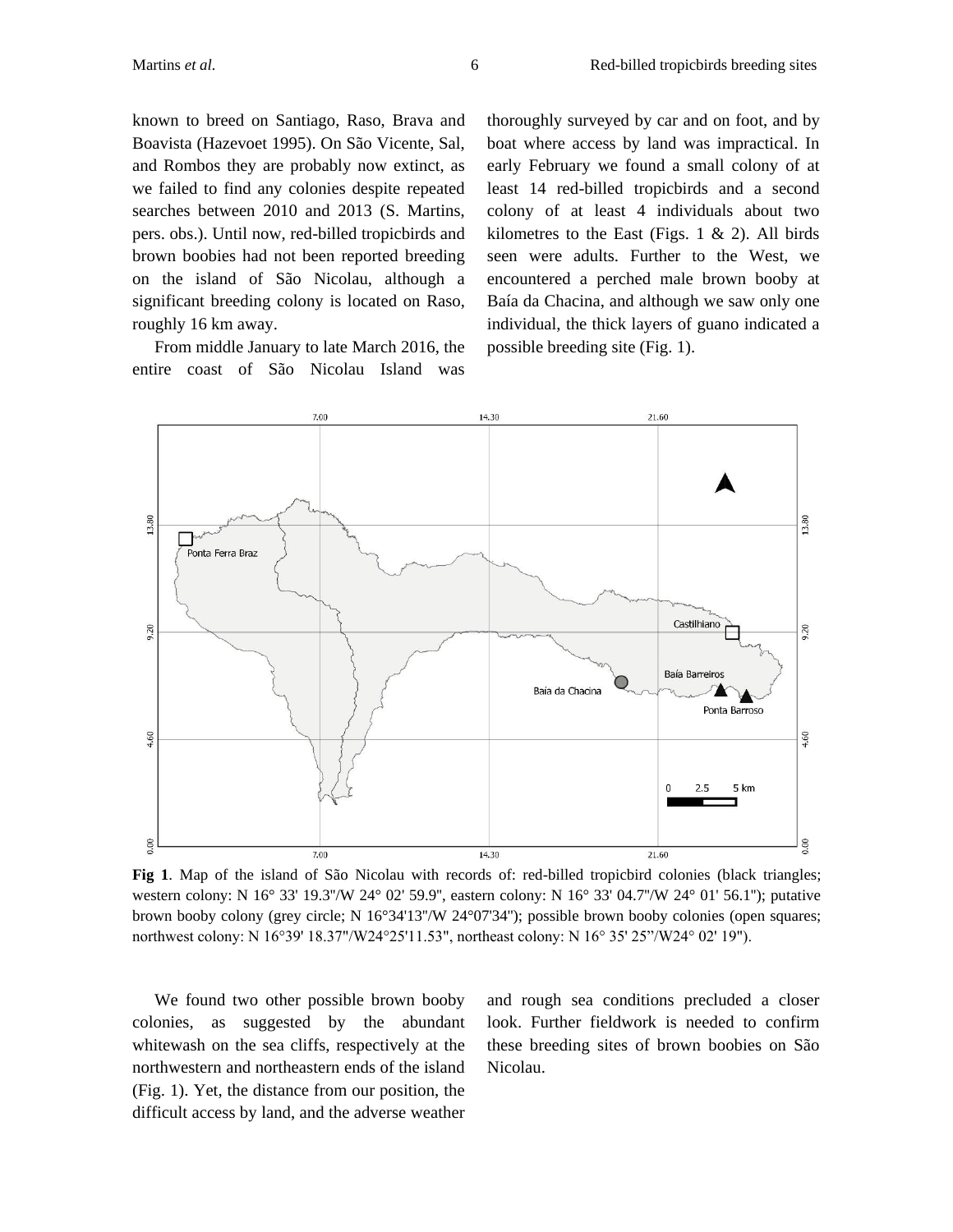known to breed on Santiago, Raso, Brava and Boavista (Hazevoet 1995). On São Vicente, Sal, and Rombos they are probably now extinct, as we failed to find any colonies despite repeated searches between 2010 and 2013 (S. Martins, pers. obs.). Until now, red-billed tropicbirds and brown boobies had not been reported breeding on the island of São Nicolau, although a significant breeding colony is located on Raso, roughly 16 km away.

From middle January to late March 2016, the entire coast of São Nicolau Island was

thoroughly surveyed by car and on foot, and by boat where access by land was impractical. In early February we found a small colony of at least 14 red-billed tropicbirds and a second colony of at least 4 individuals about two kilometres to the East (Figs.  $1 \& 2$ ). All birds seen were adults. Further to the West, we encountered a perched male brown booby at Baía da Chacina, and although we saw only one individual, the thick layers of guano indicated a possible breeding site (Fig. 1).



**Fig 1**. Map of the island of São Nicolau with records of: red-billed tropicbird colonies (black triangles; western colony: N 16° 33' 19.3''/W 24° 02' 59.9'', eastern colony: N 16° 33' 04.7''/W 24° 01' 56.1''); putative brown booby colony (grey circle; N 16°34'13''/W 24°07'34''); possible brown booby colonies (open squares; northwest colony: N 16°39' 18.37"/W24°25'11.53", northeast colony: N 16° 35' 25"/W24° 02' 19").

We found two other possible brown booby colonies, as suggested by the abundant whitewash on the sea cliffs, respectively at the northwestern and northeastern ends of the island (Fig. 1). Yet, the distance from our position, the difficult access by land, and the adverse weather and rough sea conditions precluded a closer look. Further fieldwork is needed to confirm these breeding sites of brown boobies on São Nicolau.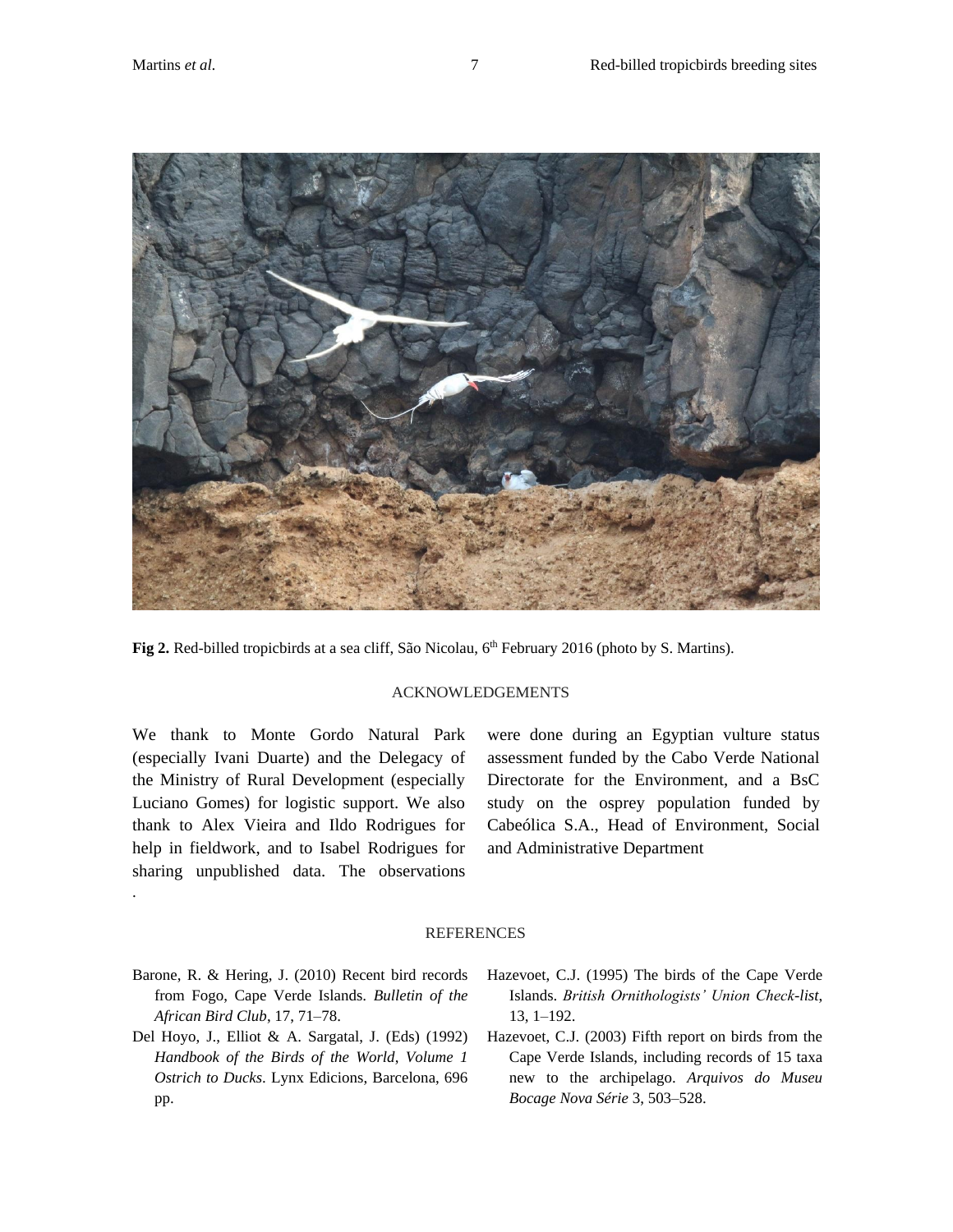

**Fig 2.** Red-billed tropicbirds at a sea cliff, São Nicolau, 6<sup>th</sup> February 2016 (photo by S. Martins).

## ACKNOWLEDGEMENTS

We thank to Monte Gordo Natural Park (especially Ivani Duarte) and the Delegacy of the Ministry of Rural Development (especially Luciano Gomes) for logistic support. We also thank to Alex Vieira and Ildo Rodrigues for help in fieldwork, and to Isabel Rodrigues for sharing unpublished data. The observations

.

were done during an Egyptian vulture status assessment funded by the Cabo Verde National Directorate for the Environment, and a BsC study on the osprey population funded by Cabeólica S.A., Head of Environment, Social and Administrative Department

## REFERENCES

- Barone, R. & Hering, J. (2010) Recent bird records from Fogo, Cape Verde Islands. *Bulletin of the African Bird Club*, 17, 71–78.
- Del Hoyo, J., Elliot & A. Sargatal, J. (Eds) (1992) *Handbook of the Birds of the World*, *Volume 1 Ostrich to Ducks*. Lynx Edicions, Barcelona, 696 pp.
- Hazevoet, C.J. (1995) The birds of the Cape Verde Islands. *British Ornithologists' Union Check-list*, 13, 1–192.
- Hazevoet, C.J. (2003) Fifth report on birds from the Cape Verde Islands, including records of 15 taxa new to the archipelago. *Arquivos do Museu Bocage Nova Série* 3, 503–528.